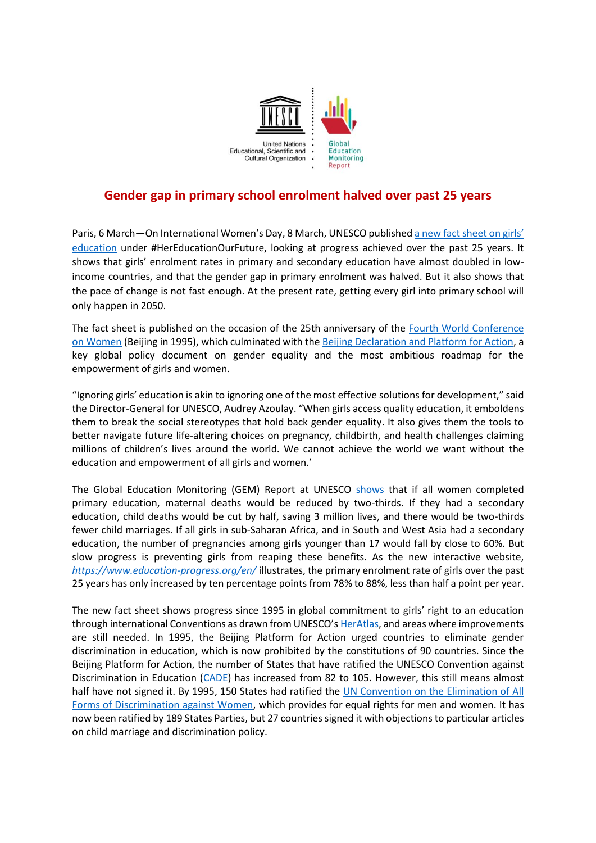

## **Gender gap in primary school enrolment halved over past 25 years**

Paris, 6 March—On International Women's Day, 8 March, UNESCO published [a new fact sheet](https://unesdoc.unesco.org/ark:/48223/pf0000372963) on girls' [education](https://unesdoc.unesco.org/ark:/48223/pf0000372963) under #HerEducationOurFuture, looking at progress achieved over the past 25 years. It shows that girls' enrolment rates in primary and secondary education have almost doubled in lowincome countries, and that the gender gap in primary enrolment was halved. But it also shows that the pace of change is not fast enough. At the present rate, getting every girl into primary school will only happen in 2050.

The fact sheet is published on the occasion of the 25th anniversary of the [Fourth World Conference](https://www.un.org/womenwatch/daw/beijing/fwcwn.html)  [on Women](https://www.un.org/womenwatch/daw/beijing/fwcwn.html) (Beijing in 1995), which culminated with the [Beijing Declaration and Platform for Action,](https://www.unwomen.org/-/media/headquarters/attachments/sections/csw/pfa_e_final_web.pdf?la=en&vs=800) a key global policy document on gender equality and the most ambitious roadmap for the empowerment of girls and women.

"Ignoring girls' education is akin to ignoring one of the most effective solutions for development," said the Director-General for UNESCO, Audrey Azoulay. "When girls access quality education, it emboldens them to break the social stereotypes that hold back gender equality. It also gives them the tools to better navigate future life-altering choices on pregnancy, childbirth, and health challenges claiming millions of children's lives around the world. We cannot achieve the world we want without the education and empowerment of all girls and women.'

The Global Education Monitoring (GEM) Report at UNESCO [shows](https://unesdoc.unesco.org/ark:/48223/pf0000223115) that if all women completed primary education, maternal deaths would be reduced by two-thirds. If they had a secondary education, child deaths would be cut by half, saving 3 million lives, and there would be two-thirds fewer child marriages. If all girls in sub-Saharan Africa, and in South and West Asia had a secondary education, the number of pregnancies among girls younger than 17 would fall by close to 60%. But slow progress is preventing girls from reaping these benefits. As the new interactive website, *<https://www.education-progress.org/en/>* illustrates, the primary enrolment rate of girls over the past 25 years has only increased by ten percentage points from 78% to 88%, less than half a point per year.

The new fact sheet shows progress since 1995 in global commitment to girls' right to an education through international Conventions as drawn from UNESCO's [HerAtlas,](https://en.unesco.org/education/girls-women-rights) and areas where improvements are still needed. In 1995, the Beijing Platform for Action urged countries to eliminate gender discrimination in education, which is now prohibited by the constitutions of 90 countries. Since the Beijing Platform for Action, the number of States that have ratified the UNESCO Convention against Discrimination in Education [\(CADE\)](http://portal.unesco.org/en/ev.php-URL_ID=12949&URL_DO=DO_TOPIC&URL_SECTION=201.html) has increased from 82 to 105. However, this still means almost half have not signed it. By 1995, 150 States had ratified the UN Convention on the Elimination of All [Forms of Discrimination against Women,](https://www.ohchr.org/EN/HRBodies/CEDAW/Pages/CEDAWIndex.aspx) which provides for equal rights for men and women. It has now been ratified by 189 States Parties, but 27 countries signed it with objections to particular articles on child marriage and discrimination policy.